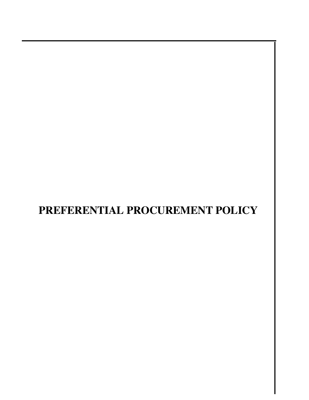# **PREFERENTIAL PROCUREMENT POLICY**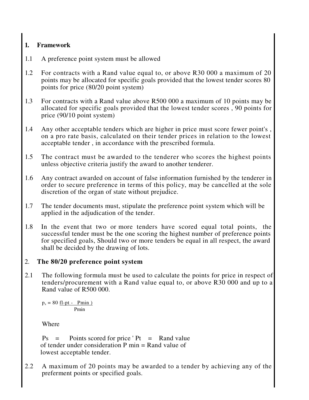### **1. Framework**

- 1.1 A preference point system must be allowed
- 1.2 For contracts with a Rand value equal to, or above R30 000 a maximum of 20 points may be allocated for specific goals provided that the lowest tender scores 80 points for price (80/20 point system)
- 1.3 For contracts with a Rand value above R500 000 a maximum of 10 points may be allocated for specific goals provided that the lowest tender scores , 90 points for price (90/10 point system)
- 1.4 Any other acceptable tenders which are higher in price must score fewer point's , on a pro rate basis, calculated on their tender prices in relation to the lowest acceptable tender , in accordance with the prescribed formula.
- 1.5 The contract must be awarded to the tenderer who scores the highest points unless objective criteria justify the award to another tenderer.
- 1.6 Any contract awarded on account of false information furnished by the tenderer in order to secure preference in terms of this policy, may be cancelled at the sole discretion of the organ of state without prejudice.
- 1.7 The tender documents must, stipulate the preference point system which will be applied in the adjudication of the tender.
- 1.8 In the event that two or more tenders have scored equal total points, the successful tender must be the one scoring the highest number of preference points for specified goals, Should two or more tenders be equal in all respect, the award shall be decided by the drawing of lots.

#### 2. **The 80/20 preference point system**

2.1 The following formula must be used to calculate the points for price in respect of tenders/procurement with a Rand value equal to, or above R30 000 and up to a Rand value of R500 000.

 $p_s = 80$  <u>fl-pt - Pmin )</u> Pmin

Where

 $Ps =$  Points scored for price ' Pt = Rand value of tender under consideration  $P$  min  $=$  Rand value of lowest acceptable tender.

2.2 A maximum of 20 points may be awarded to a tender by achieving any of the preferment points or specified goals.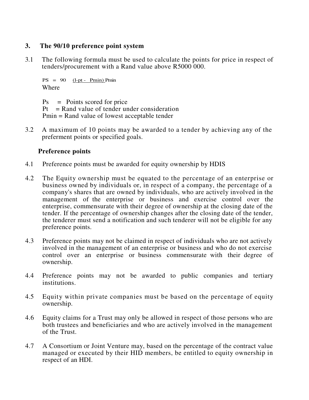#### **3. The 90/10 preference point system**

3.1 The following formula must be used to calculate the points for price in respect of tenders/procurement with a Rand value above R5000 000.

 $PS = 90$  (l-pt - Pmin) Pmin Where

 $Ps = Points scored for price$  $Pt = Rand$  value of tender under consideration Pmin = Rand value of lowest acceptable tender

3.2 A maximum of 10 points may be awarded to a tender by achieving any of the preferment points or specified goals.

#### **Preference points**

- 4.1 Preference points must be awarded for equity ownership by HDIS
- 4.2 The Equity ownership must be equated to the percentage of an enterprise or business owned by individuals or, in respect of a company, the percentage of a company's shares that are owned by individuals, who are actively involved in the management of the enterprise or business and exercise control over the enterprise, commensurate with their degree of ownership at the closing date of the tender. If the percentage of ownership changes after the closing date of the tender, the tenderer must send a notification and such tenderer will not be eligible for any preference points.
- 4.3 Preference points may not be claimed in respect of individuals who are not actively involved in the management of an enterprise or business and who do not exercise control over an enterprise or business commensurate with their degree of ownership.
- 4.4 Preference points may not be awarded to public companies and tertiary institutions.
- 4.5 Equity within private companies must be based on the percentage of equity ownership.
- 4.6 Equity claims for a Trust may only be allowed in respect of those persons who are both trustees and beneficiaries and who are actively involved in the management of the Trust.
- 4.7 A Consortium or Joint Venture may, based on the percentage of the contract value managed or executed by their HID members, be entitled to equity ownership in respect of an HDI.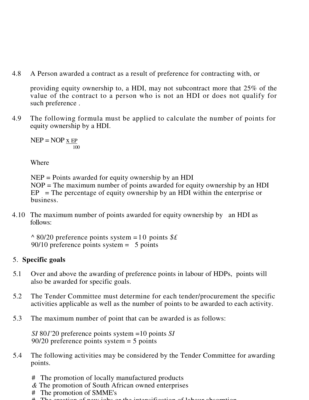4.8 A Person awarded a contract as a result of preference for contracting with, or

providing equity ownership to, a HDI, may not subcontract more that 25% of the value of the contract to a person who is not an HDI or does not qualify for such preference .

4.9 The following formula must be applied to calculate the number of points for equity ownership by a HDI.

 $NEP = NOP \times EP$ 100

Where

NEP = Points awarded for equity ownership by an HDI NOP = The maximum number of points awarded for equity ownership by an HDI  $EP$  = The percentage of equity ownership by an HDI within the enterprise or business.

4.10 The maximum number of points awarded for equity ownership by an HDI as follows:

*^* 80/20 preference points system =1 0 points *\$£* 90/10 preference points system = 5 points

## 5. **Specific goals**

- 5.1 Over and above the awarding of preference points in labour of HDPs, points will also be awarded for specific goals.
- 5.2 The Tender Committee must determine for each tender/procurement the specific activities applicable as well as the number of points to be awarded to each activity.
- 5.3 The maximum number of point that can be awarded is as follows:

*SI* 80*1*'20 preference points system =10 points *SI* 90/20 preference points system = 5 points

- 5.4 The following activities may be considered by the Tender Committee for awarding points.
	- # The promotion of locally manufactured products
	- *&* The promotion of South African owned enterprises
	- # The promotion of SMME's
	- # The creation of new jobs or the intensification of labour absorption